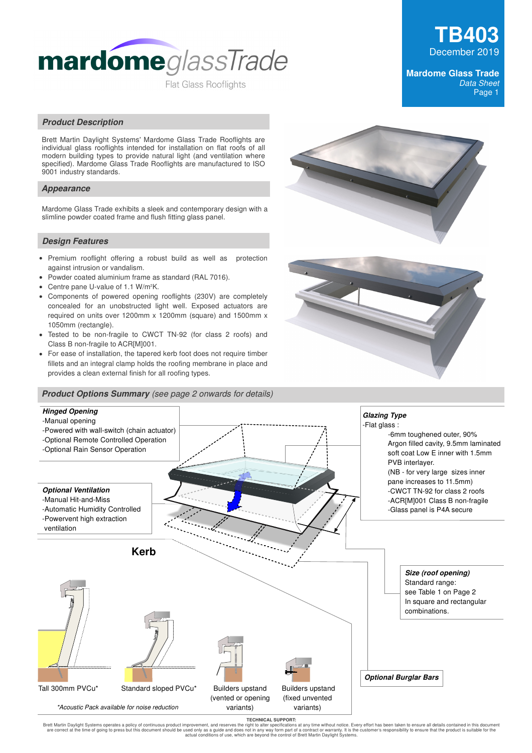

# **TB403** December 2019

#### **Mardome Glass Trade**  Data Sheet Page 1

#### **Product Description**

Brett Martin Daylight Systems' Mardome Glass Trade Rooflights are individual glass rooflights intended for installation on flat roofs of all modern building types to provide natural light (and ventilation where specified). Mardome Glass Trade Rooflights are manufactured to ISO 9001 industry standards.

#### **Appearance**

Mardome Glass Trade exhibits a sleek and contemporary design with a slimline powder coated frame and flush fitting glass panel.

#### **Design Features**

- Premium rooflight offering a robust build as well as protection against intrusion or vandalism.
- Powder coated aluminium frame as standard (RAL 7016).  $\bullet$
- Centre pane U-value of 1.1 W/m2K.
- $\bullet$ Components of powered opening rooflights (230V) are completely concealed for an unobstructed light well. Exposed actuators are required on units over 1200mm x 1200mm (square) and 1500mm x 1050mm (rectangle).
- Tested to be non-fragile to CWCT TN-92 (for class 2 roofs) and Class B non-fragile to ACR[M]001.
- For ease of installation, the tapered kerb foot does not require timber fillets and an integral clamp holds the roofing membrane in place and provides a clean external finish for all roofing types.

#### **Product Options Summary** (see page 2 onwards for details)







TECHNICAL SUPPORT:<br>Brett Martin Daylight Systems operates a policy of continuous product improvement, and reserves the might o alter specifications at any time without notice. Every effort has been taken to ensure all deta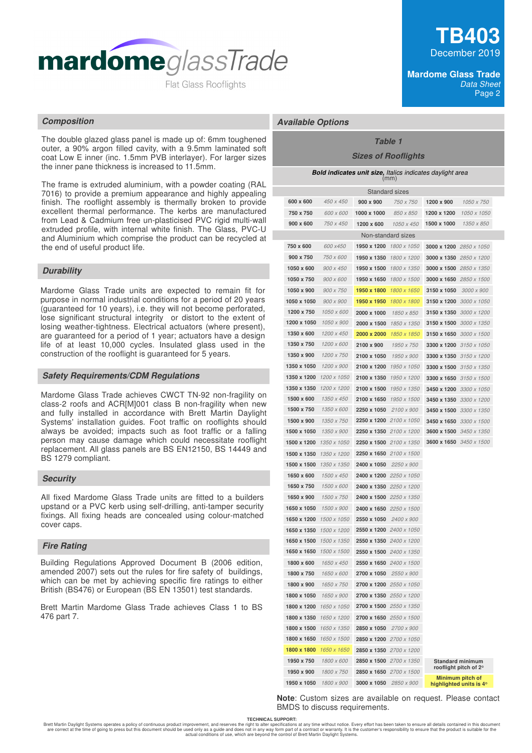

The double glazed glass panel is made up of: 6mm toughened outer, a 90% argon filled cavity, with a 9.5mm laminated soft coat Low E inner (inc. 1.5mm PVB interlayer). For larger sizes the inner pane thickness is increased to 11.5mm.

The frame is extruded aluminium, with a powder coating (RAL 7016) to provide a premium appearance and highly appealing finish. The rooflight assembly is thermally broken to provide excellent thermal performance. The kerbs are manufactured from Lead & Cadmium free un-plasticised PVC rigid multi-wall extruded profile, with internal white finish. The Glass, PVC-U and Aluminium which comprise the product can be recycled at the end of useful product life.

## **Durability**

Mardome Glass Trade units are expected to remain fit for purpose in normal industrial conditions for a period of 20 years (guaranteed for 10 years), i.e. they will not become perforated, lose significant structural integrity or distort to the extent of losing weather-tightness. Electrical actuators (where present), are guaranteed for a period of 1 year; actuators have a design life of at least 10,000 cycles. Insulated glass used in the construction of the rooflight is guaranteed for 5 years.

#### **Safety Requirements/CDM Regulations**

Mardome Glass Trade achieves CWCT TN-92 non-fragility on class-2 roofs and ACR[M]001 class B non-fragility when new and fully installed in accordance with Brett Martin Daylight Systems' installation guides. Foot traffic on rooflights should always be avoided; impacts such as foot traffic or a falling person may cause damage which could necessitate rooflight replacement. All glass panels are BS EN12150, BS 14449 and BS 1279 compliant.

#### **Security**

All fixed Mardome Glass Trade units are fitted to a builders upstand or a PVC kerb using self-drilling, anti-tamper security fixings. All fixing heads are concealed using colour-matched cover caps.

#### **Fire Rating**

Building Regulations Approved Document B (2006 edition, amended 2007) sets out the rules for fire safety of buildings, which can be met by achieving specific fire ratings to either British (BS476) or European (BS EN 13501) test standards.

Brett Martin Mardome Glass Trade achieves Class 1 to BS 476 part 7.

#### **Mardome Glass Trade**  Data Sheet Page 2

## **Composition Available Options**

# **Table 1**

## **Sizes of Rooflights**

| <b>Bold indicates unit size, Italics indicates daylight area</b><br>(mm) |                         |                          |                        |                                |             |                                                  |  |
|--------------------------------------------------------------------------|-------------------------|--------------------------|------------------------|--------------------------------|-------------|--------------------------------------------------|--|
| <b>Standard sizes</b>                                                    |                         |                          |                        |                                |             |                                                  |  |
|                                                                          | 600 x 600               | 450 x 450                | 900 x 900              | 750 x 750                      | 1200 x 900  | 1050 x 750                                       |  |
|                                                                          | 750 x 750               | 600 x 600                | 1000 x 1000            | 850 x 850                      | 1200 x 1200 | 1050 x 1050                                      |  |
|                                                                          | 900 x 600               | 750 x 450                | 1200 x 600             | 1050 x 450                     | 1500 x 1000 | 1350 x 850                                       |  |
|                                                                          |                         |                          |                        | Non-standard sizes             |             |                                                  |  |
|                                                                          | 750 x 600               | 600 x450                 |                        | 1950 x 1200 1800 x 1050        |             | 3000 x 1200 2850 x 1050                          |  |
|                                                                          | 900 x 750               | 750 x 600                |                        | 1950 x 1350 1800 x 1200        |             | 3000 x 1350 2850 x 1200                          |  |
|                                                                          | 1050 x 600              | 900 x 450                |                        | 1950 x 1500 1800 x 1350        |             | 3000 x 1500 2850 x 1350                          |  |
|                                                                          | 1050 x 750              | 900 x 600                | 1950 x 1650            | 1800 x 1500                    |             | <b>3000 x 1650</b> 2850 x 1500                   |  |
|                                                                          | 1050 x 900              | 900 x 750                | 1950 x 1800            | 1800 x 1650                    | 3150 x 1050 | 3000 x 900                                       |  |
|                                                                          | 1050 x 1050             | 900 x 900                | 1950 x 1950            | 1800 x 1800                    |             | 3150 x 1200 3000 x 1050                          |  |
|                                                                          | 1200 x 750              | 1050 x 600               | 2000 x 1000            | 1850 x 850                     |             | 3150 x 1350 3000 x 1200                          |  |
|                                                                          | 1200 x 1050             | 1050 x 900               | 2000 x 1500            | 1850 x 1350                    |             | 3150 x 1500 3000 x 1350                          |  |
|                                                                          | 1350 x 600              | 1200 x 450               | 2000 x 2000            | 1850 x 1850                    |             | 3150 x 1650 $3000 \times 1500$                   |  |
|                                                                          | 1350 x 750              | 1200 x 600               | 2100 x 900             | 1950 x 750                     |             | 3300 x 1200 3150 x 1050                          |  |
|                                                                          | 1350 x 900              | 1200 x 750               | 2100 x 1050            | 1950 x 900                     |             | 3300 x 1350 3150 x 1200                          |  |
|                                                                          | 1350 x 1050             | 1200 x 900               | 2100 x 1200            | 1950 x 1050                    |             | 3300 x 1500 3150 x 1350                          |  |
|                                                                          | 1350 x 1200             | 1200 x 1050              | 2100 x 1350            | 1950 x 1200                    |             | 3300 x 1650 3150 x 1500                          |  |
|                                                                          | 1350 x 1350             | 1200 x 1200              | 2100 x 1500            | 1950 x 1350                    |             | 3450 x 1200 3300 x 1050                          |  |
|                                                                          | 1500 x 600              | 1350 x 450               | 2100 x 1650            | 1950 x 1500                    |             | 3450 x 1350 3300 x 1200                          |  |
|                                                                          | 1500 x 750              | 1350 x 600               | 2250 x 1050            | 2100 x 900                     |             | <b>3450 x 1500</b> 3300 x 1350                   |  |
|                                                                          | 1500 x 900              | 1350 x 750               |                        | <b>2250 x 1200</b> 2100 x 1050 |             | 3450 x 1650 3300 x 1500                          |  |
|                                                                          | 1500 x 1050             | 1350 x 900               |                        | 2250 x 1350 2100 x 1200        |             | 3600 x 1500 3450 x 1350                          |  |
|                                                                          | 1500 x 1200             | 1350 x 1050              |                        | <b>2250 x 1500</b> 2100 x 1350 |             | <b>3600 x 1650</b> 3450 x 1500                   |  |
|                                                                          | 1500 x 1350             | 1350 x 1200              |                        | 2250 x 1650 2100 x 1500        |             |                                                  |  |
|                                                                          | 1500 x 1500             | 1350 x 1350              | 2400 x 1050            | 2250 x 900                     |             |                                                  |  |
|                                                                          | 1650 x 600              | 1500 x 450               |                        | 2400 x 1200 2250 x 1050        |             |                                                  |  |
|                                                                          | 1650 x 750              | 1500 x 600               |                        | 2400 x 1350 2250 x 1200        |             |                                                  |  |
|                                                                          | 1650 x 900              | 1500 x 750               |                        | 2400 x 1500 2250 x 1350        |             |                                                  |  |
|                                                                          | 1650 x 1050             | 1500 x 900               |                        | <b>2400 x 1650</b> 2250 x 1500 |             |                                                  |  |
|                                                                          | 1650 x 1200             | 1500 x 1050              | 2550 x 1050 2400 x 900 |                                |             |                                                  |  |
|                                                                          | 1650 x 1350             | 1500 x 1200              |                        | <b>2550 x 1200</b> 2400 x 1050 |             |                                                  |  |
|                                                                          | 1650 x 1500             | 1500 x 1350              |                        | <b>2550 x 1350</b> 2400 x 1200 |             |                                                  |  |
|                                                                          | 1650 x 1650 1500 x 1500 |                          |                        | 2550 x 1500 2400 x 1350        |             |                                                  |  |
|                                                                          | 1800 x 600              | 1650 x 450               |                        | 2550 x 1650 2400 x 1500        |             |                                                  |  |
|                                                                          | 1800 x 750              | 1650 x 600               | 2700 x 1050            | 2550 x 900                     |             |                                                  |  |
|                                                                          | 1800 x 900              | 1650 x 750               |                        | <b>2700 x 1200</b> 2550 x 1050 |             |                                                  |  |
|                                                                          | 1800 x 1050             | 1650 x 900               |                        | 2700 x 1350 2550 x 1200        |             |                                                  |  |
|                                                                          | 1800 x 1200             | 1650 x 1050              |                        | 2700 x 1500 2550 x 1350        |             |                                                  |  |
|                                                                          | 1800 x 1350             | 1650 x 1200              |                        | 2700 x 1650 2550 x 1500        |             |                                                  |  |
|                                                                          | 1800 x 1500             | 1650 x 1350              | 2850 x 1050            | 2700 x 900                     |             |                                                  |  |
|                                                                          | 1800 x 1650             | 1650 x 1500              |                        | 2850 x 1200 2700 x 1050        |             |                                                  |  |
|                                                                          | 1800 x 1800             | 1650 x 1650              |                        | 2850 x 1350 2700 x 1200        |             |                                                  |  |
|                                                                          | 1950 x 750              | 1800 x 600               |                        | 2850 x 1500 2700 x 1350        |             | <b>Standard minimum</b><br>rooflight pitch of 2° |  |
|                                                                          | 1950 x 900              | 1800 x 750<br>1800 x 900 |                        | 2850 x 1650 2700 x 1500        |             | Minimum pitch of                                 |  |
|                                                                          | 1950 x 1050             |                          | 3000 x 1050            | 2850 x 900                     |             | highlighted units is 4°                          |  |

**Note**: Custom sizes are available on request. Please contact BMDS to discuss requirements.

**TECHNICAL SUPPORT:**

Brett Martin Daylight Systems operates a policy of continuous product improvement, and reserves the right to alter specifications at any time without notice. Every effort has been taken to ensure all details contained in t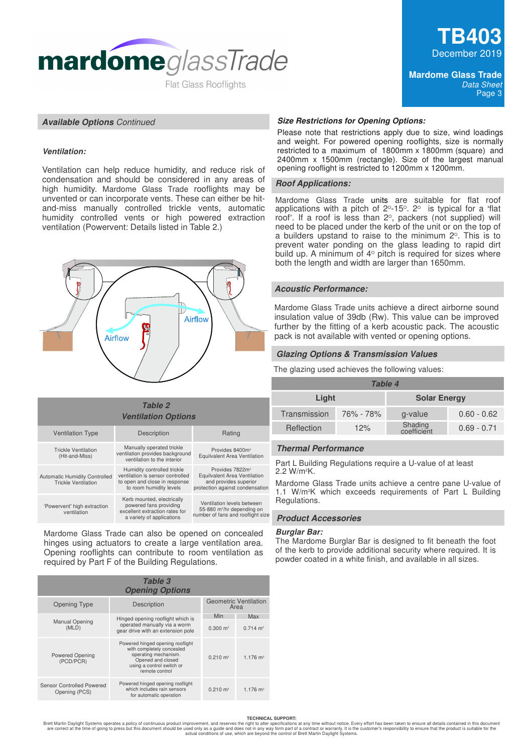

#### **Available Options** Continued

#### **Ventilation:**

Ventilation can help reduce humidity, and reduce risk of condensation and should be considered in any areas of high humidity. Mardome Glass Trade rooflights may be unvented or can incorporate vents. These can either be hitand-miss manually controlled trickle vents, automatic humidity controlled vents or high powered extraction ventilation (Powervent: Details listed in Table 2.)



#### **Ventilation Options** Provides 8400m Equilvalent Area Ventilation **Table 2** Ventilation Type Description Nating Trickle Ventilation (Hit-and-Miss) Automatic Humidity Controlled Trickle Ventilation Provides 7822m Equilvalent Area Ventilation and provides superior protection against condensation Manually operated trickle ventilation provides background ventilation to the interior Humidity controlled trickle ventilation is sensor controlled to open and close in response to room humidity levels 'Powervent' high extraction ventilation Kerb mounted, electrically powered fans providing excellent extraction rates for a variety of applications Ventilation levels between 55-880 m<sup>3</sup> /hr depending on number of fans and rooflight size

Mardome Glass Trade can also be opened on concealed hinges using actuators to create a large ventilation area. Opening rooflights can contribute to room ventilation as required by Part F of the Building Regulations.

| Table 3<br><b>Opening Options</b>          |                                                                                                                                                           |                     |                        |  |
|--------------------------------------------|-----------------------------------------------------------------------------------------------------------------------------------------------------------|---------------------|------------------------|--|
| <b>Opening Type</b>                        | <b>Geometric Ventilation</b><br>Area                                                                                                                      |                     |                        |  |
|                                            |                                                                                                                                                           | Min                 | Max                    |  |
| <b>Manual Opening</b><br>(MLD)             | Hinged opening rooflight which is<br>operated manually via a worm<br>gear drive with an extension pole                                                    | $0.300 \text{ m}^2$ | $0.714 \text{ m}^2$    |  |
| <b>Powered Opening</b><br>(PCD/PCR)        | Powered hinged opening rooflight<br>with completely concealed<br>operating mechanism.<br>Opened and closed<br>using a control switch or<br>remote control | $0.210 \text{ m}^2$ | $1.176$ m <sup>2</sup> |  |
| Sensor Controlled Powered<br>Opening (PCS) | Powered hinged opening rooflight<br>which includes rain sensors<br>for automatic operation                                                                | $0.210 \text{ m}^2$ | $1.176$ m <sup>2</sup> |  |

#### **Size Restrictions for Opening Options:**

Please note that restrictions apply due to size, wind loadings and weight. For powered opening rooflights, size is normally restricted to a maximum of 1800mm x 1800mm (square) and 2400mm x 1500mm (rectangle). Size of the largest manual opening rooflight is restricted to 1200mm x 1200mm.

#### **Roof Applications:**

Mardome Glass Trade units are suitable for flat roof applications with a pitch of  $2^{\circ}$ -15 $^{\circ}$ .  $2^{\circ}$  is typical for a 'flat roof'. If a roof is less than  $2^{\circ}$ , packers (not supplied) will need to be placed under the kerb of the unit or on the top of a builders upstand to raise to the minimum  $2^{\circ}$ . This is to prevent water ponding on the glass leading to rapid dirt build up. A minimum of  $4^{\circ}$  pitch is required for sizes where both the length and width are larger than 1650mm.

#### **Acoustic Performance:**

Mardome Glass Trade units achieve a direct airborne sound insulation value of 39db (Rw). This value can be improved further by the fitting of a kerb acoustic pack. The acoustic pack is not available with vented or opening options.

#### **Glazing Options & Transmission Values**

The glazing used achieves the following values:

| <b>Table 4</b> |           |                        |               |  |
|----------------|-----------|------------------------|---------------|--|
| Light          |           | <b>Solar Energy</b>    |               |  |
| Transmission   | 76% - 78% | g-value                | $0.60 - 0.62$ |  |
| Reflection     | 12%       | Shading<br>coefficient | $0.69 - 0.71$ |  |

#### **Thermal Performance**

Part L Building Regulations require a U-value of at least 2.2 W/m2K.

Mardome Glass Trade units achieve a centre pane U-value of 1.1 W/m2K which exceeds requirements of Part L Building Regulations.

#### **Product Accessories**

#### **Burglar Bar:**

The Mardome Burglar Bar is designed to fit beneath the foot of the kerb to provide additional security where required. It is powder coated in a white finish, and available in all sizes.

#### **TECHNICAL SUPPORT:**

Brett Martin Daylight Systems operates a policy of continuous product improvement, and reserves the right to alter specifications at any time without notice. Every effort has been taken to ensure all details contained in t